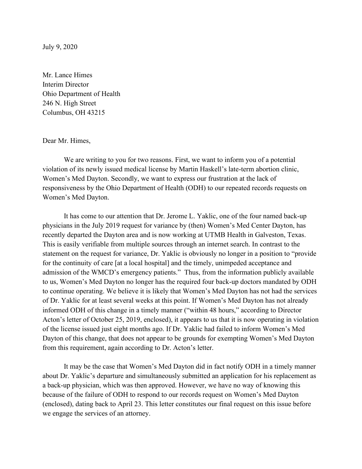July 9, 2020

Mr. Lance Himes Interim Director Ohio Department of Health 246 N. High Street Columbus, OH 43215

## Dear Mr. Himes,

We are writing to you for two reasons. First, we want to inform you of a potential violation of its newly issued medical license by Martin Haskell's late-term abortion clinic, Women's Med Dayton. Secondly, we want to express our frustration at the lack of responsiveness by the Ohio Department of Health (ODH) to our repeated records requests on Women's Med Dayton.

It has come to our attention that Dr. Jerome L. Yaklic, one of the four named back-up physicians in the July 2019 request for variance by (then) Women's Med Center Dayton, has recently departed the Dayton area and is now working at UTMB Health in Galveston, Texas. This is easily verifiable from multiple sources through an internet search. In contrast to the statement on the request for variance, Dr. Yaklic is obviously no longer in a position to "provide for the continuity of care [at a local hospital] and the timely, unimpeded acceptance and admission of the WMCD's emergency patients." Thus, from the information publicly available to us, Women's Med Dayton no longer has the required four back-up doctors mandated by ODH to continue operating. We believe it is likely that Women's Med Dayton has not had the services of Dr. Yaklic for at least several weeks at this point. If Women's Med Dayton has not already informed ODH of this change in a timely manner ("within 48 hours," according to Director Acton's letter of October 25, 2019, enclosed), it appears to us that it is now operating in violation of the license issued just eight months ago. If Dr. Yaklic had failed to inform Women's Med Dayton of this change, that does not appear to be grounds for exempting Women's Med Dayton from this requirement, again according to Dr. Acton's letter.

It may be the case that Women's Med Dayton did in fact notify ODH in a timely manner about Dr. Yaklic's departure and simultaneously submitted an application for his replacement as a back-up physician, which was then approved. However, we have no way of knowing this because of the failure of ODH to respond to our records request on Women's Med Dayton (enclosed), dating back to April 23. This letter constitutes our final request on this issue before we engage the services of an attorney.